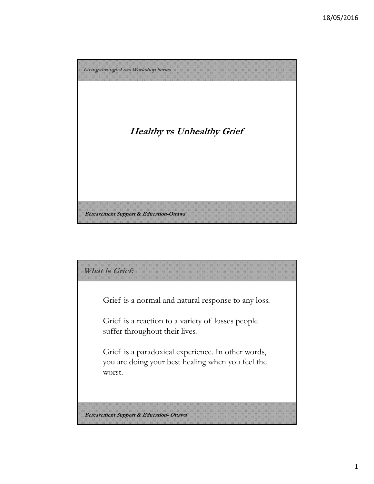

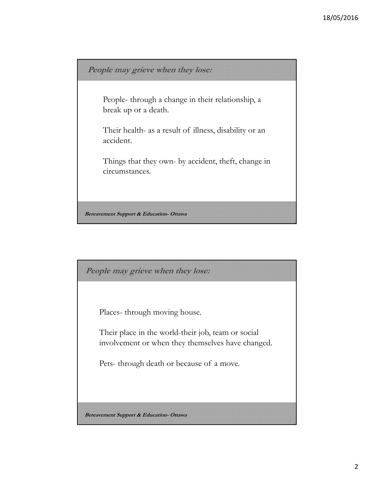

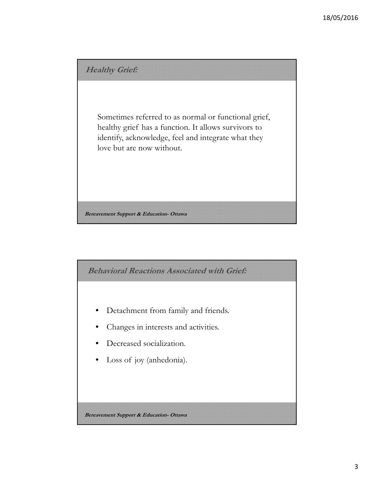

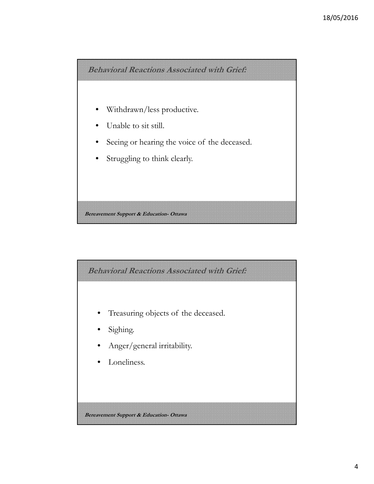

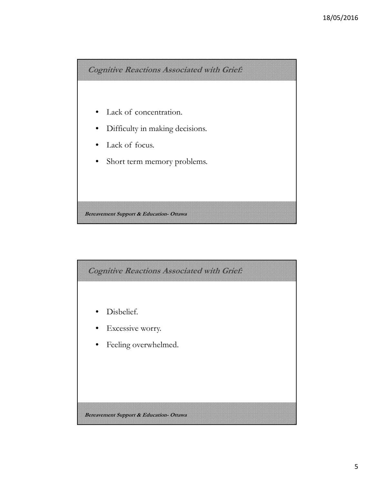

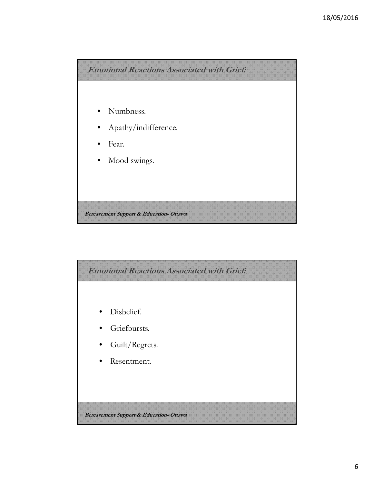

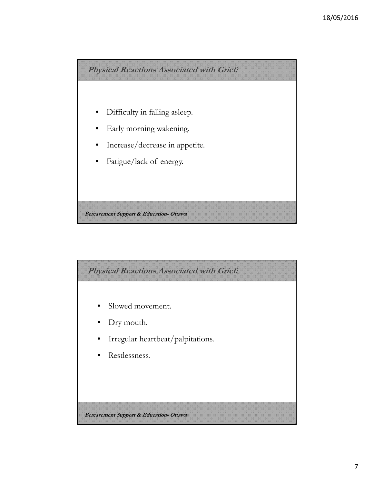

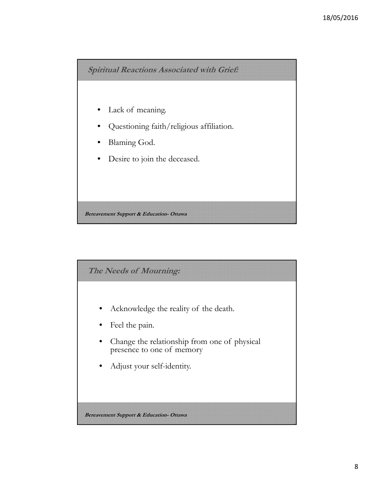

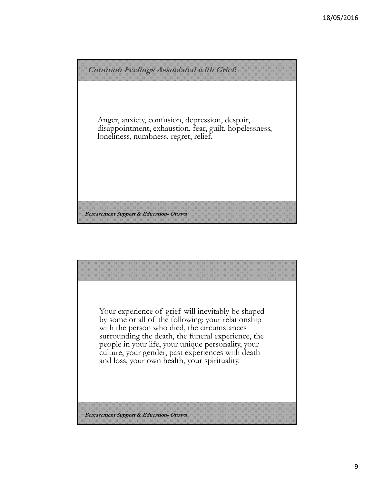

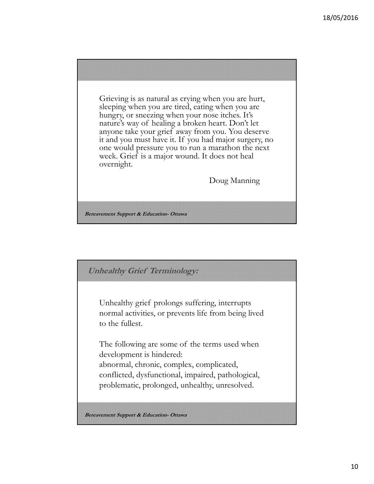Grieving is as natural as crying when you are hurt, sleeping when you are tired, eating when you are hungry, or sneezing when your nose itches. It's nature's way of healing a broken heart. Don't let anyone take your grief away from you. You deserve it and you must have it. If you had major surgery, no one would pressure you to run a marathon the next week. Grief is a major wound. It does not heal overnight.

Doug Manning

**Bereavement Support & Education- Ottawa**

**Unhealthy Grief Terminology:** 

Unhealthy grief prolongs suffering, interrupts normal activities, or prevents life from being lived to the fullest.

The following are some of the terms used when development is hindered: abnormal, chronic, complex, complicated, conflicted, dysfunctional, impaired, pathological, problematic, prolonged, unhealthy, unresolved.

**Bereavement Support & Education- Ottawa**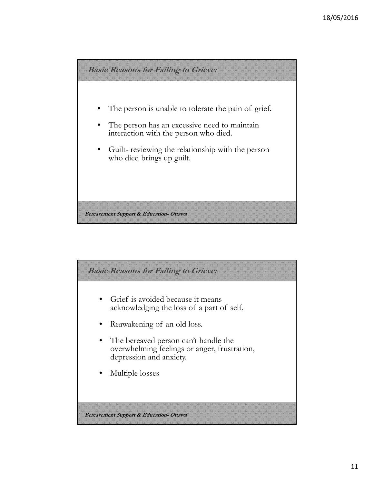

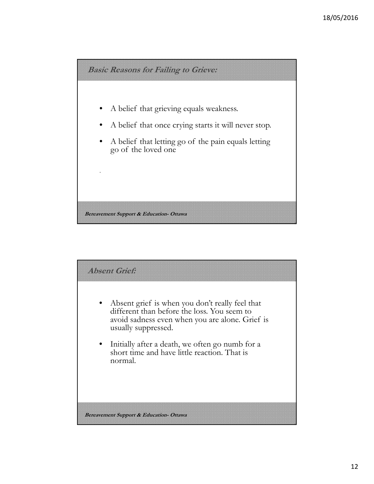

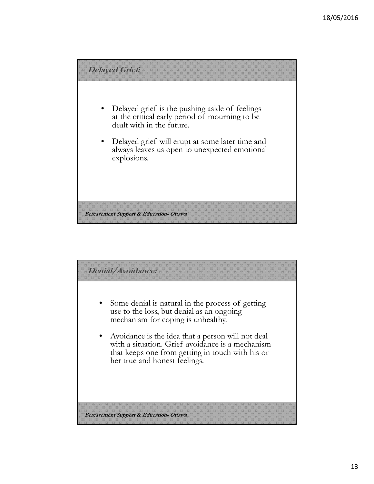

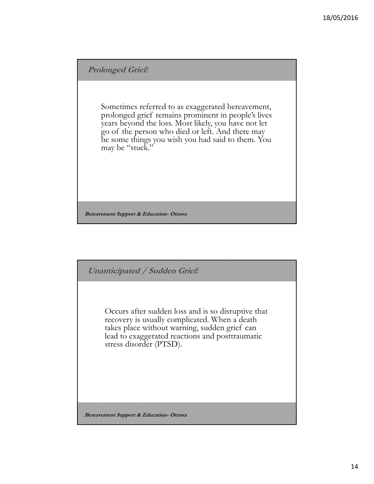

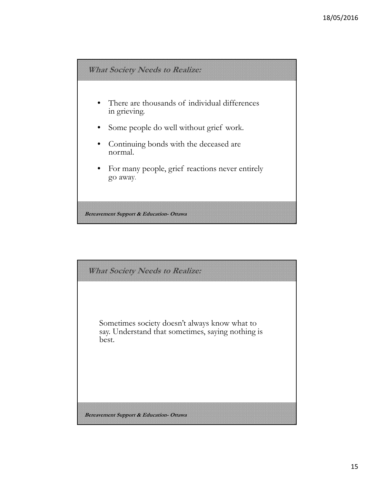